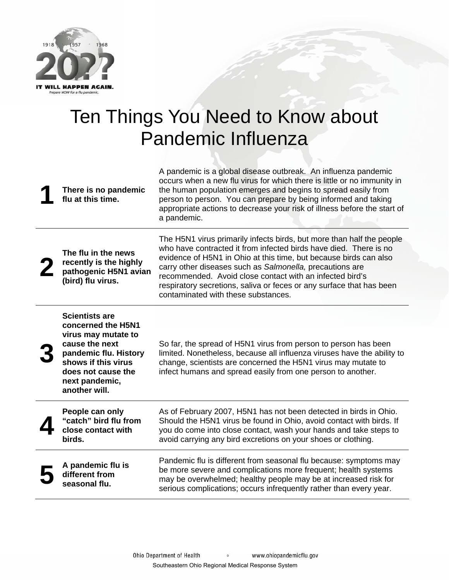

## Ten Things You Need to Know about Pandemic Influenza

| There is no pandemic<br>flu at this time.                                                                                                                                                     | A pandemic is a global disease outbreak. An influenza pandemic<br>occurs when a new flu virus for which there is little or no immunity in<br>the human population emerges and begins to spread easily from<br>person to person. You can prepare by being informed and taking<br>appropriate actions to decrease your risk of illness before the start of<br>a pandemic.                                                                                |
|-----------------------------------------------------------------------------------------------------------------------------------------------------------------------------------------------|--------------------------------------------------------------------------------------------------------------------------------------------------------------------------------------------------------------------------------------------------------------------------------------------------------------------------------------------------------------------------------------------------------------------------------------------------------|
| The flu in the news<br>recently is the highly<br>pathogenic H5N1 avian<br>(bird) flu virus.                                                                                                   | The H5N1 virus primarily infects birds, but more than half the people<br>who have contracted it from infected birds have died. There is no<br>evidence of H5N1 in Ohio at this time, but because birds can also<br>carry other diseases such as Salmonella, precautions are<br>recommended. Avoid close contact with an infected bird's<br>respiratory secretions, saliva or feces or any surface that has been<br>contaminated with these substances. |
| <b>Scientists are</b><br>concerned the H5N1<br>virus may mutate to<br>cause the next<br>pandemic flu. History<br>shows if this virus<br>does not cause the<br>next pandemic,<br>another will. | So far, the spread of H5N1 virus from person to person has been<br>limited. Nonetheless, because all influenza viruses have the ability to<br>change, scientists are concerned the H5N1 virus may mutate to<br>infect humans and spread easily from one person to another.                                                                                                                                                                             |
| People can only<br>"catch" bird flu from<br>close contact with<br>birds.                                                                                                                      | As of February 2007, H5N1 has not been detected in birds in Ohio.<br>Should the H5N1 virus be found in Ohio, avoid contact with birds. If<br>you do come into close contact, wash your hands and take steps to<br>avoid carrying any bird excretions on your shoes or clothing.                                                                                                                                                                        |
| A pandemic flu is<br>different from<br>seasonal flu.                                                                                                                                          | Pandemic flu is different from seasonal flu because: symptoms may<br>be more severe and complications more frequent; health systems<br>may be overwhelmed; healthy people may be at increased risk for<br>serious complications; occurs infrequently rather than every year.                                                                                                                                                                           |